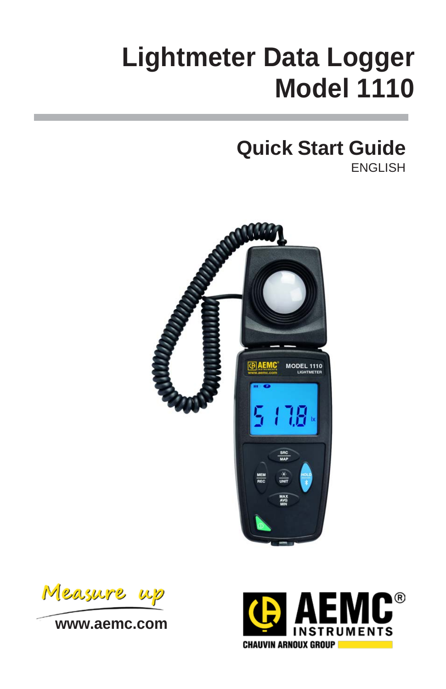# **Lightmeter Data Logger Model 1110**

## **Quick Start Guide**

ENGLISH



Measure

**[www.aemc.com](http://www.aemc.com/)**

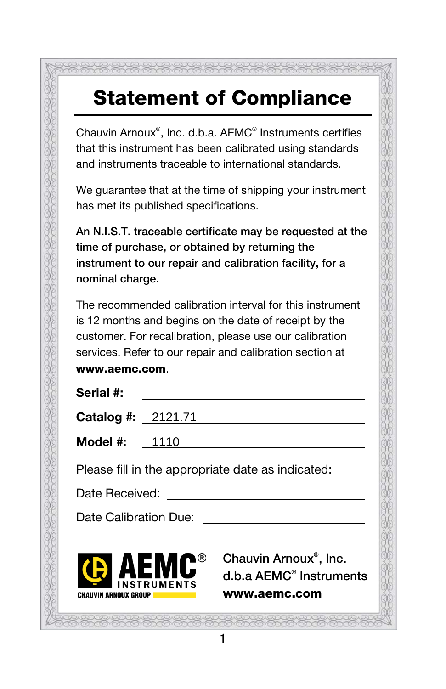## Statement of Compliance

Chauvin Arnoux® , Inc. d.b.a. AEMC® Instruments certifies that this instrument has been calibrated using standards and instruments traceable to international standards.

We guarantee that at the time of shipping your instrument has met its published specifications.

An N.I.S.T. traceable certificate may be requested at the time of purchase, or obtained by returning the instrument to our repair and calibration facility, for a nominal charge.

The recommended calibration interval for this instrument is 12 months and begins on the date of receipt by the customer. For recalibration, please use our calibration services. Refer to our repair and calibration section at www.aemc.com.

| Serial #: |  |
|-----------|--|
|           |  |

| <b>Catalog #:</b> $2121.71$                       |  |  |
|---------------------------------------------------|--|--|
| <b>Model #:</b> $1110$                            |  |  |
| Dlosso fill in the appropriate data as indicated. |  |  |

1

Please fill in the appropriate date as indicated:

Date Received:

Date Calibration Due:



Chauvin Arnoux® , Inc. d.b.a AEMC® Instruments www.aemc.com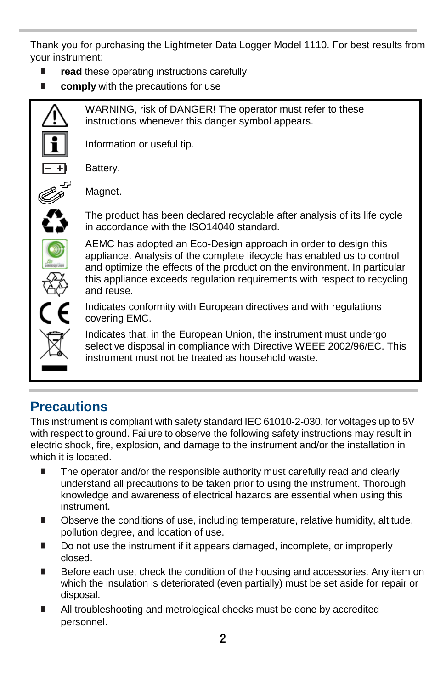Thank you for purchasing the Lightmeter Data Logger Model 1110. For best results from your instrument:

- **read** these operating instructions carefully
- **E** comply with the precautions for use



WARNING, risk of DANGER! The operator must refer to these instructions whenever this danger symbol appears.

Information or useful tip.

Battery.



Magnet.



The product has been declared recyclable after analysis of its life cycle in accordance with the ISO14040 standard.

AEMC has adopted an Eco-Design approach in order to design this appliance. Analysis of the complete lifecycle has enabled us to control and optimize the effects of the product on the environment. In particular this appliance exceeds regulation requirements with respect to recycling and reuse.

Indicates conformity with European directives and with regulations covering EMC.

Indicates that, in the European Union, the instrument must undergo selective disposal in compliance with Directive WEEE 2002/96/EC. This instrument must not be treated as household waste.

### **Precautions**

This instrument is compliant with safety standard IEC 61010-2-030, for voltages up to 5V with respect to ground. Failure to observe the following safety instructions may result in electric shock, fire, explosion, and damage to the instrument and/or the installation in which it is located.

- The operator and/or the responsible authority must carefully read and clearly understand all precautions to be taken prior to using the instrument. Thorough knowledge and awareness of electrical hazards are essential when using this instrument.
- **Depending Conditions of use, including temperature, relative humidity, altitude,** pollution degree, and location of use.
- Do not use the instrument if it appears damaged, incomplete, or improperly closed.
- Before each use, check the condition of the housing and accessories. Any item on which the insulation is deteriorated (even partially) must be set aside for repair or disposal.
- All troubleshooting and metrological checks must be done by accredited personnel.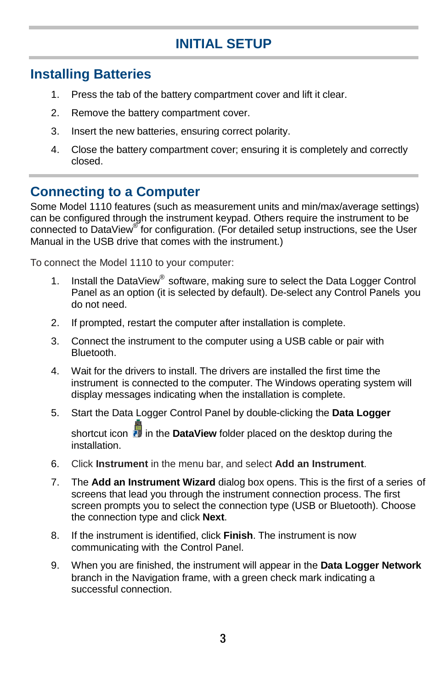#### **INITIAL SETUP**

#### **Installing Batteries**

- 1. Press the tab of the battery compartment cover and lift it clear.
- 2. Remove the battery compartment cover.
- 3. Insert the new batteries, ensuring correct polarity.
- 4. Close the battery compartment cover; ensuring it is completely and correctly closed.

#### **Connecting to a Computer**

Some Model 1110 features (such as measurement units and min/max/average settings) can be configured through the instrument keypad. Others require the instrument to be connected to DataView<sup>®</sup> for configuration. (For detailed setup instructions, see the User Manual in the USB drive that comes with the instrument.)

To connect the Model 1110 to your computer:

- 1. Install the DataView<sup>®</sup> software, making sure to select the Data Logger Control Panel as an option (it is selected by default). De-select any Control Panels you do not need.
- 2. If prompted, restart the computer after installation is complete.
- 3. Connect the instrument to the computer using a USB cable or pair with Bluetooth.
- 4. Wait for the drivers to install. The drivers are installed the first time the instrument is connected to the computer. The Windows operating system will display messages indicating when the installation is complete.
- 5. Start the Data Logger Control Panel by double-clicking the **Data Logger**  shortcut icon **in** in the **DataView** folder placed on the desktop during the installation.
- 6. Click **Instrument** in the menu bar, and select **Add an Instrument**.
- 7. The **Add an Instrument Wizard** dialog box opens. This is the first of a series of screens that lead you through the instrument connection process. The first screen prompts you to select the connection type (USB or Bluetooth). Choose the connection type and click **Next**.
- 8. If the instrument is identified, click **Finish**. The instrument is now communicating with the Control Panel.
- 9. When you are finished, the instrument will appear in the **Data Logger Network** branch in the Navigation frame, with a green check mark indicating a successful connection.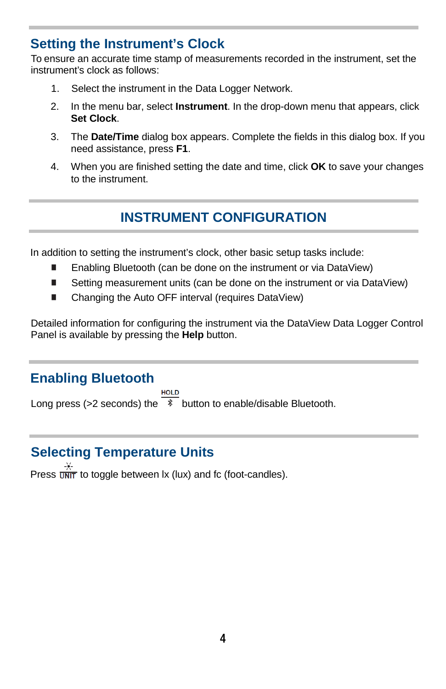#### **Setting the Instrument's Clock**

To ensure an accurate time stamp of measurements recorded in the instrument, set the instrument's clock as follows:

- 1. Select the instrument in the Data Logger Network.
- 2. In the menu bar, select **Instrument**. In the drop-down menu that appears, click **Set Clock**.
- 3. The **Date/Time** dialog box appears. Complete the fields in this dialog box. If you need assistance, press **F1**.
- 4. When you are finished setting the date and time, click **OK** to save your changes to the instrument.

### **INSTRUMENT CONFIGURATION**

In addition to setting the instrument's clock, other basic setup tasks include:

- Enabling Bluetooth (can be done on the instrument or via DataView)
- Setting measurement units (can be done on the instrument or via DataView)
- Changing the Auto OFF interval (requires DataView)

Detailed information for configuring the instrument via the DataView Data Logger Control Panel is available by pressing the **Help** button.

#### **Enabling Bluetooth**

Long press (>2 seconds) the  $\overline{\phantom{x}}$  button to enable/disable Bluetooth.

### **Selecting Temperature Units**

Press  $\frac{4}{\sqrt{2}}$  to toggle between lx (lux) and fc (foot-candles).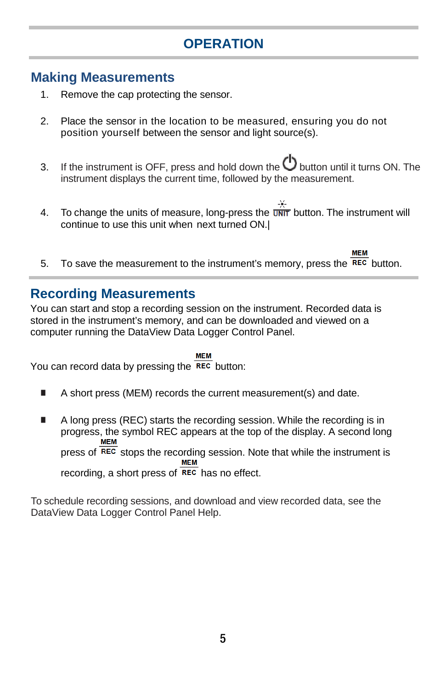### **OPERATION**

#### **Making Measurements**

- 1. Remove the cap protecting the sensor.
- 2. Place the sensor in the location to be measured, ensuring you do not position yourself between the sensor and light source(s).
- 3. If the instrument is OFF, press and hold down the  $\bigcirc$  button until it turns ON. The instrument displays the current time, followed by the measurement.
- 4. To change the units of measure, long-press the  $\overline{w}$  button. The instrument will continue to use this unit when next turned ON.|
- **MEM** 5. To save the measurement to the instrument's memory, press the  $REC$  button.

#### **Recording Measurements**

You can start and stop a recording session on the instrument. Recorded data is stored in the instrument's memory, and can be downloaded and viewed on a computer running the DataView Data Logger Control Panel.

#### **MFM**

You can record data by pressing the  $\overline{\text{rec}}$  button:

- A short press (MEM) records the current measurement(s) and date.
- A long press (REC) starts the recording session. While the recording is in progress, the symbol REC appears at the top of the display. A second long press of REC stops the recording session. Note that while the instrument is<br>MEM

recording, a short press of  $\overline{rec}$  has no effect.

To schedule recording sessions, and download and view recorded data, see the DataView Data Logger Control Panel Help.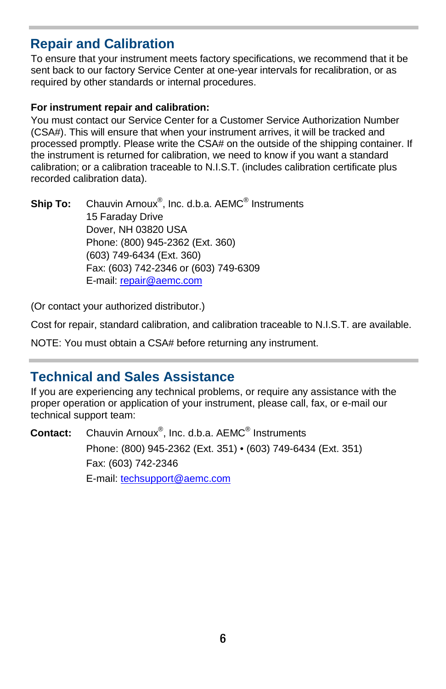#### **Repair and Calibration**

To ensure that your instrument meets factory specifications, we recommend that it be sent back to our factory Service Center at one-year intervals for recalibration, or as required by other standards or internal procedures.

#### **For instrument repair and calibration:**

You must contact our Service Center for a Customer Service Authorization Number (CSA#). This will ensure that when your instrument arrives, it will be tracked and processed promptly. Please write the CSA# on the outside of the shipping container. If the instrument is returned for calibration, we need to know if you want a standard calibration; or a calibration traceable to N.I.S.T. (includes calibration certificate plus recorded calibration data).

Ship To: Chauvin Arnoux<sup>®</sup>, Inc. d.b.a. AEMC<sup>®</sup> Instruments 15 Faraday Drive Dover, NH 03820 USA Phone: (800) 945-2362 (Ext. 360) (603) 749-6434 (Ext. 360) Fax: (603) 742-2346 or (603) 749-6309 E-mail[: repair@aemc.com](mailto:repair@aemc.com)

(Or contact your authorized distributor.)

Cost for repair, standard calibration, and calibration traceable to N.I.S.T. are available.

NOTE: You must obtain a CSA# before returning any instrument.

#### **Technical and Sales Assistance**

If you are experiencing any technical problems, or require any assistance with the proper operation or application of your instrument, please call, fax, or e-mail our technical support team:

**Contact:** Chauvin Arnoux® , Inc. d.b.a. AEMC® Instruments Phone: (800) 945-2362 (Ext. 351) • (603) 749-6434 (Ext. 351) Fax: (603) 742-2346 E-mail: [techsupport@aemc.com](mailto:techsupport@aemc.com)